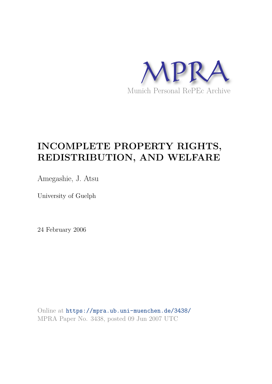

# **INCOMPLETE PROPERTY RIGHTS, REDISTRIBUTION, AND WELFARE**

Amegashie, J. Atsu

University of Guelph

24 February 2006

Online at https://mpra.ub.uni-muenchen.de/3438/ MPRA Paper No. 3438, posted 09 Jun 2007 UTC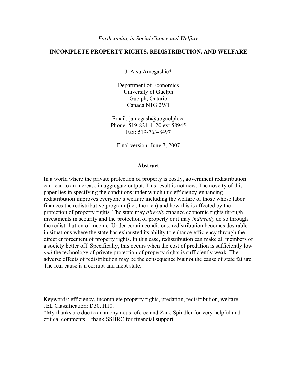## **INCOMPLETE PROPERTY RIGHTS, REDISTRIBUTION, AND WELFARE**

J. Atsu Amegashie\*

Department of Economics University of Guelph Guelph, Ontario Canada N1G 2W1

Email: jamegash@uoguelph.ca Phone: 519-824-4120 ext 58945 Fax: 519-763-8497

Final version: June 7, 2007

#### **Abstract**

In a world where the private protection of property is costly, government redistribution can lead to an increase in aggregate output. This result is not new. The novelty of this paper lies in specifying the conditions under which this efficiency-enhancing redistribution improves everyone's welfare including the welfare of those whose labor finances the redistributive program (i.e., the rich) and how this is affected by the protection of property rights. The state may *directly* enhance economic rights through investments in security and the protection of property or it may *indirectly* do so through the redistribution of income. Under certain conditions, redistribution becomes desirable in situations where the state has exhausted its ability to enhance efficiency through the direct enforcement of property rights. In this case, redistribution can make all members of a society better off. Specifically, this occurs when the cost of predation is sufficiently low *and* the technology of private protection of property rights is sufficiently weak. The adverse effects of redistribution may be the consequence but not the cause of state failure. The real cause is a corrupt and inept state.

Keywords: efficiency, incomplete property rights, predation, redistribution, welfare. JEL Classification: D30, H10.

\*My thanks are due to an anonymous referee and Zane Spindler for very helpful and critical comments. I thank SSHRC for financial support.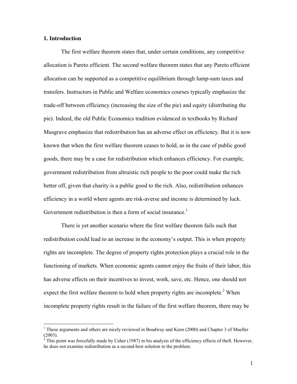## **1. Introduction**

 $\overline{a}$ 

The first welfare theorem states that, under certain conditions, any competitive allocation is Pareto efficient. The second welfare theorem states that any Pareto efficient allocation can be supported as a competitive equilibrium through lump-sum taxes and transfers. Instructors in Public and Welfare economics courses typically emphasize the trade-off between efficiency (increasing the size of the pie) and equity (distributing the pie). Indeed, the old Public Economics tradition evidenced in textbooks by Richard Musgrave emphasize that redistribution has an adverse effect on efficiency. But it is now known that when the first welfare theorem ceases to hold, as in the case of public good goods, there may be a case for redistribution which enhances efficiency. For example, government redistribution from altruistic rich people to the poor could make the rich better off, given that charity is a public good to the rich. Also, redistribution enhances efficiency in a world where agents are risk-averse and income is determined by luck. Government redistribution is then a form of social insurance.<sup>1</sup>

 There is yet another scenario where the first welfare theorem fails such that redistribution could lead to an increase in the economy's output. This is when property rights are incomplete. The degree of property rights protection plays a crucial role in the functioning of markets. When economic agents cannot enjoy the fruits of their labor, this has adverse effects on their incentives to invest, work, save, etc. Hence, one should not expect the first welfare theorem to hold when property rights are incomplete.<sup>2</sup> When incomplete property rights result in the failure of the first welfare theorem, there may be

<sup>&</sup>lt;sup>1</sup> These arguments and others are nicely reviewed in Boadway and Keen (2000) and Chapter 3 of Mueller  $(2003)$ .<br><sup>2</sup> This n

This point was forcefully made by Usher (1987) in his analysis of the efficiency effects of theft. However, he does not examine redistribution as a second-best solution to the problem.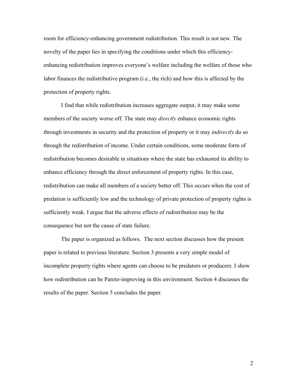room for efficiency-enhancing government redistribution. This result is not new. The novelty of the paper lies in specifying the conditions under which this efficiencyenhancing redistribution improves everyone's welfare including the welfare of those who labor finances the redistributive program (i.e., the rich) and how this is affected by the protection of property rights.

I find that while redistribution increases aggregate output, it may make some members of the society worse off. The state may *directly* enhance economic rights through investments in security and the protection of property or it may *indirectly* do so through the redistribution of income. Under certain conditions, some moderate form of redistribution becomes desirable in situations where the state has exhausted its ability to enhance efficiency through the direct enforcement of property rights. In this case, redistribution can make all members of a society better off. This occurs when the cost of predation is sufficiently low and the technology of private protection of property rights is sufficiently weak. I argue that the adverse effects of redistribution may be the consequence but not the cause of state failure.

The paper is organized as follows. The next section discusses how the present paper is related to previous literature. Section 3 presents a very simple model of incomplete property rights where agents can choose to be predators or producers. I show how redistribution can be Pareto-improving in this environment. Section 4 discusses the results of the paper. Section 5 concludes the paper.

2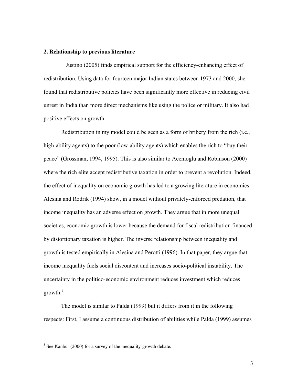#### **2. Relationship to previous literature**

Justino (2005) finds empirical support for the efficiency-enhancing effect of redistribution. Using data for fourteen major Indian states between 1973 and 2000, she found that redistributive policies have been significantly more effective in reducing civil unrest in India than more direct mechanisms like using the police or military. It also had positive effects on growth.

Redistribution in my model could be seen as a form of bribery from the rich (i.e., high-ability agents) to the poor (low-ability agents) which enables the rich to "buy their peace" (Grossman, 1994, 1995). This is also similar to Acemoglu and Robinson (2000) where the rich elite accept redistributive taxation in order to prevent a revolution. Indeed, the effect of inequality on economic growth has led to a growing literature in economics. Alesina and Rodrik (1994) show, in a model without privately-enforced predation, that income inequality has an adverse effect on growth. They argue that in more unequal societies, economic growth is lower because the demand for fiscal redistribution financed by distortionary taxation is higher. The inverse relationship between inequality and growth is tested empirically in Alesina and Perotti (1996). In that paper, they argue that income inequality fuels social discontent and increases socio-political instability. The uncertainty in the politico-economic environment reduces investment which reduces growth. $3$ 

The model is similar to Palda (1999) but it differs from it in the following respects: First, I assume a continuous distribution of abilities while Palda (1999) assumes

<sup>&</sup>lt;sup>3</sup> See Kanbur (2000) for a survey of the inequality-growth debate.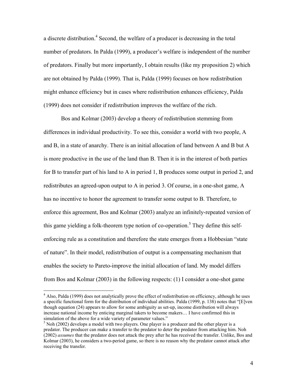a discrete distribution.<sup>4</sup> Second, the welfare of a producer is decreasing in the total number of predators. In Palda (1999), a producer's welfare is independent of the number of predators. Finally but more importantly, I obtain results (like my proposition 2) which are not obtained by Palda (1999). That is, Palda (1999) focuses on how redistribution might enhance efficiency but in cases where redistribution enhances efficiency, Palda (1999) does not consider if redistribution improves the welfare of the rich.

Bos and Kolmar (2003) develop a theory of redistribution stemming from differences in individual productivity. To see this, consider a world with two people, A and B, in a state of anarchy. There is an initial allocation of land between A and B but A is more productive in the use of the land than B. Then it is in the interest of both parties for B to transfer part of his land to A in period 1, B produces some output in period 2, and redistributes an agreed-upon output to A in period 3. Of course, in a one-shot game, A has no incentive to honor the agreement to transfer some output to B. Therefore, to enforce this agreement, Bos and Kolmar (2003) analyze an infinitely-repeated version of this game yielding a folk-theorem type notion of co-operation.<sup>5</sup> They define this selfenforcing rule as a constitution and therefore the state emerges from a Hobbesian "state of nature". In their model, redistribution of output is a compensating mechanism that enables the society to Pareto-improve the initial allocation of land. My model differs from Bos and Kolmar (2003) in the following respects: (1) I consider a one-shot game

 4 Also, Palda (1999) does not analytically prove the effect of redistribution on efficiency, although he uses a specific functional form for the distribution of individual abilities. Palda (1999, p. 138) notes that "[E]ven though equation (24) appears to allow for some ambiguity as set-up, income distribution will always increase national income by enticing marginal takers to become makers… I have confirmed this in simulation of the above for a wide variety of parameter values."

 $<sup>5</sup>$  Noh (2002) develops a model with two players. One player is a producer and the other player is a</sup> predator. The producer can make a transfer to the predator to deter the predator from attacking him. Noh (2002) *assumes* that the predator does not attack the prey after he has received the transfer. Unlike, Bos and Kolmar (2003), he considers a two-period game, so there is no reason why the predator cannot attack after receiving the transfer.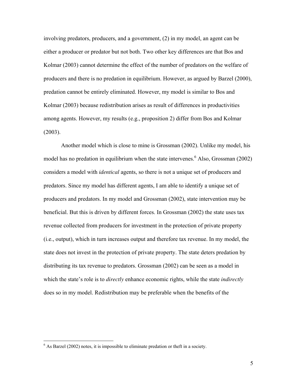involving predators, producers, and a government, (2) in my model, an agent can be either a producer or predator but not both. Two other key differences are that Bos and Kolmar (2003) cannot determine the effect of the number of predators on the welfare of producers and there is no predation in equilibrium. However, as argued by Barzel (2000), predation cannot be entirely eliminated. However, my model is similar to Bos and Kolmar (2003) because redistribution arises as result of differences in productivities among agents. However, my results (e.g., proposition 2) differ from Bos and Kolmar  $(2003)$ .

Another model which is close to mine is Grossman (2002). Unlike my model, his model has no predation in equilibrium when the state intervenes.<sup>6</sup> Also, Grossman  $(2002)$ considers a model with *identical* agents, so there is not a unique set of producers and predators. Since my model has different agents, I am able to identify a unique set of producers and predators. In my model and Grossman (2002), state intervention may be beneficial. But this is driven by different forces. In Grossman (2002) the state uses tax revenue collected from producers for investment in the protection of private property (i.e., output), which in turn increases output and therefore tax revenue. In my model, the state does not invest in the protection of private property. The state deters predation by distributing its tax revenue to predators. Grossman (2002) can be seen as a model in which the state's role is to *directly* enhance economic rights, while the state *indirectly* does so in my model. Redistribution may be preferable when the benefits of the

 $\frac{6}{6}$  As Barzel (2002) notes, it is impossible to eliminate predation or theft in a society.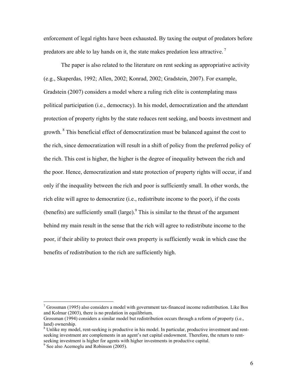enforcement of legal rights have been exhausted. By taxing the output of predators before predators are able to lay hands on it, the state makes predation less attractive.<sup>7</sup>

The paper is also related to the literature on rent seeking as appropriative activity (e.g., Skaperdas, 1992; Allen, 2002; Konrad, 2002; Gradstein, 2007). For example, Gradstein (2007) considers a model where a ruling rich elite is contemplating mass political participation (i.e., democracy). In his model, democratization and the attendant protection of property rights by the state reduces rent seeking, and boosts investment and growth. $8$  This beneficial effect of democratization must be balanced against the cost to the rich, since democratization will result in a shift of policy from the preferred policy of the rich. This cost is higher, the higher is the degree of inequality between the rich and the poor. Hence, democratization and state protection of property rights will occur, if and only if the inequality between the rich and poor is sufficiently small. In other words, the rich elite will agree to democratize (i.e., redistribute income to the poor), if the costs (benefits) are sufficiently small (large). $9$  This is similar to the thrust of the argument behind my main result in the sense that the rich will agree to redistribute income to the poor, if their ability to protect their own property is sufficiently weak in which case the benefits of redistribution to the rich are sufficiently high.

<u>.</u>

 $7$  Grossman (1995) also considers a model with government tax-financed income redistribution. Like Bos and Kolmar (2003), there is no predation in equilibrium.

Grossman (1994) considers a similar model but redistribution occurs through a reform of property (i.e., land) ownership.

<sup>&</sup>lt;sup>8</sup> Unlike my model, rent-seeking is productive in his model. In particular, productive investment and rentseeking investment are complements in an agent's net capital endowment. Therefore, the return to rentseeking investment is higher for agents with higher investments in productive capital.<br><sup>9</sup> See also Acemoglu and Robinson (2005).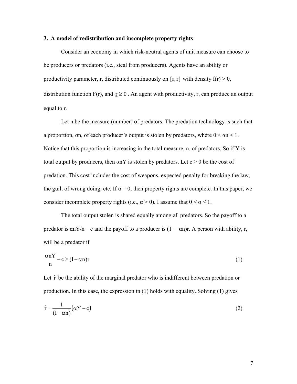#### **3. A model of redistribution and incomplete property rights**

Consider an economy in which risk-neutral agents of unit measure can choose to be producers or predators (i.e., steal from producers). Agents have an ability or productivity parameter, r, distributed continuously on  $[r,\bar{r}]$  with density  $f(r) > 0$ , distribution function  $F(r)$ , and  $r \ge 0$ . An agent with productivity, r, can produce an output equal to r.

 Let n be the measure (number) of predators. The predation technology is such that a proportion,  $\alpha$ n, of each producer's output is stolen by predators, where  $0 \le \alpha n \le 1$ . Notice that this proportion is increasing in the total measure, n, of predators. So if Y is total output by producers, then  $\alpha$  is stolen by predators. Let  $c > 0$  be the cost of predation. This cost includes the cost of weapons, expected penalty for breaking the law, the guilt of wrong doing, etc. If  $\alpha = 0$ , then property rights are complete. In this paper, we consider incomplete property rights (i.e.,  $\alpha > 0$ ). I assume that  $0 < \alpha \leq 1$ .

 The total output stolen is shared equally among all predators. So the payoff to a predator is  $\alpha N/n - c$  and the payoff to a producer is  $(1 - \alpha n)r$ . A person with ability, r, will be a predator if

$$
\frac{\alpha nY}{n} - c \ge (1 - \alpha n)r \tag{1}
$$

Let  $\hat{r}$  be the ability of the marginal predator who is indifferent between predation or production. In this case, the expression in (1) holds with equality. Solving (1) gives

$$
\hat{\mathbf{r}} = \frac{1}{(1 - \alpha \mathbf{n})} (\alpha \mathbf{Y} - \mathbf{c})
$$
 (2)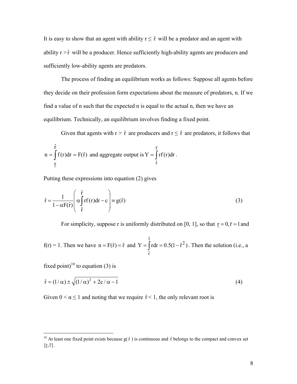It is easy to show that an agent with ability  $r \leq \hat{r}$  will be a predator and an agent with ability  $r > \hat{r}$  will be a producer. Hence sufficiently high-ability agents are producers and sufficiently low-ability agents are predators.

 The process of finding an equilibrium works as follows: Suppose all agents before they decide on their profession form expectations about the measure of predators, n. If we find a value of n such that the expected n is equal to the actual n, then we have an equilibrium. Technically, an equilibrium involves finding a fixed point.

Given that agents with  $r > \hat{r}$  are producers and  $r \leq \hat{r}$  are predators, it follows that

$$
n = \int_{\frac{\Gamma}{t}}^{\hat{r}} f(r) dr = F(\hat{r})
$$
 and aggregate output is 
$$
Y = \int_{\hat{r}}^{\overline{r}} rf(r) dr.
$$

Putting these expressions into equation (2) gives

$$
\hat{\mathbf{r}} = \frac{1}{1 - \alpha \mathbf{F}(\hat{\mathbf{r}})} \left( \alpha \int_{\hat{\mathbf{r}}}^{\overline{\mathbf{r}}} \mathbf{r}(\mathbf{r}) d\mathbf{r} - \mathbf{c} \right) \equiv g(\hat{\mathbf{r}})
$$
(3)

For simplicity, suppose r is uniformly distributed on [0, 1], so that  $r = 0, \bar{r} = 1$  and

 $f(r) = 1$ . Then we have  $n = F(\hat{r}) = \hat{r}$  and  $Y = \int r dr = 0.5(1-\hat{r}^2)$ 1 rˆ  $=\int r dr = 0.5(1 - \hat{r}^2)$ . Then the solution (i.e., a

fixed point)<sup>10</sup> to equation (3) is

 $\overline{a}$ 

$$
\hat{\mathbf{r}} = (1/\alpha) \pm \sqrt{(1/\alpha)^2 + 2c/\alpha - 1}
$$
 (4)

Given  $0 < \alpha \le 1$  and noting that we require  $\hat{r} < 1$ , the only relevant root is

<sup>&</sup>lt;sup>10</sup> At least one fixed point exists because  $g(\hat{r})$  is continuous and  $\hat{r}$  belongs to the compact and convex set  $[\underline{r},\overline{r}]$ .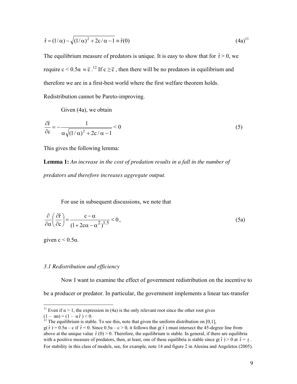$$
\hat{r} = (1/\alpha) - \sqrt{(1/\alpha)^2 + 2c/\alpha - 1} = \hat{r}(0)
$$
\n(4a)<sup>11</sup>

The equilibrium measure of predators is unique. It is easy to show that for  $\hat{r} > 0$ , we require  $c < 0.5\alpha = \overline{c}$ . <sup>12</sup> If  $c \ge \overline{c}$ , then there will be no predators in equilibrium and therefore we are in a first-best world where the first welfare theorem holds. Redistribution cannot be Pareto-improving.

Given (4a), we obtain

$$
\frac{\partial \hat{r}}{\partial c} = -\frac{1}{\alpha \sqrt{(1/\alpha)^2 + 2c/\alpha - 1}} < 0
$$
\n(5)

This gives the following lemma:

**Lemma 1:** *An increase in the cost of predation results in a fall in the number of predators and therefore increases aggregate output.* 

For use in subsequent discussions, we note that

$$
\frac{\partial}{\partial \alpha} \left( \frac{\partial \hat{r}}{\partial c} \right) = \frac{c - \alpha}{\left( 1 + 2c\alpha - \alpha^2 \right)^{1.5}} < 0 \,, \tag{5a}
$$

given  $c < 0.5\alpha$ .

<u>.</u>

## *3.1 Redistribution and efficiency*

 Now I want to examine the effect of government redistribution on the incentive to be a producer or predator. In particular, the government implements a linear tax-transfer

<sup>&</sup>lt;sup>11</sup> Even if  $\alpha$  > 1, the expression in (4a) is the only relevant root since the other root gives  $(1 - \alpha n) = (1 - \alpha \hat{r}) < 0.$ 

<sup>&</sup>lt;sup>12</sup> The equilibrium is stable. To see this, note that given the uniform distribution on [0,1],

 $g(\hat{r}) = 0.5\alpha - c$  if  $\hat{r} = 0$ . Since  $0.5\alpha - c > 0$ , it follows that  $g(\hat{r})$  must intersect the 45-degree line from above at the unique value  $\hat{r}(0) > 0$ . Therefore, the equilibrium is stable. In general, if there are equilibria with a positive measure of predators, then, at least, one of these equilibria is stable since  $g(\hat{r}) > 0$  at  $\hat{r} = r$ . For stability in this class of models, see, for example, note 14 and figure 2 in Alesina and Angeletos (2005).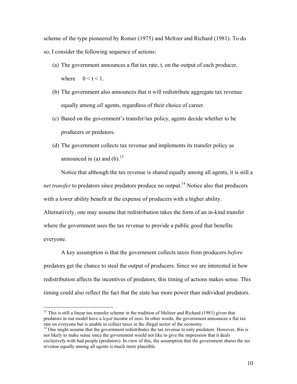scheme of the type pioneered by Romer (1975) and Meltzer and Richard (1981). To do so, I consider the following sequence of actions:

- (a) The government announces a flat tax rate, t, on the output of each producer, where  $0 \le t \le 1$ .
- (b) The government also announces that it will redistribute aggregate tax revenue equally among *all* agents, regardless of their choice of career.
- (c) Based on the government's transfer/tax policy, agents decide whether to be producers or predators.
- (d) The government collects tax revenue and implements its transfer policy as announced in (a) and (b). $^{13}$

Notice that although the tax revenue is shared equally among all agents, it is still a *net transfer* to predators since predators produce no output.<sup>14</sup> Notice also that producers with a lower ability benefit at the expense of producers with a higher ability.

Alternatively, one may assume that redistribution takes the form of an in-kind transfer where the government uses the tax revenue to provide a public good that benefits everyone.

A key assumption is that the government collects taxes from producers *before* predators get the chance to steal the output of producers. Since we are interested in how redistribution affects the incentives of predators, this timing of actions makes sense. This timing could also reflect the fact that the state has more power than individual predators.

-

<sup>&</sup>lt;sup>13</sup> This is still a linear tax-transfer scheme in the tradition of Meltzer and Richard (1981) given that predators in our model have a *legal* income of zero. In other words, the government announces a flat tax rate on everyone but is unable to collect taxes in the illegal sector of the economy.

 $14$  One might assume that the government redistributes the tax revenue to only predators. However, this is not likely to make sense since the government would not like to give the impression that it deals exclusively with bad people (predators). In view of this, the assumption that the government shares the tax revenue equally among all agents is much more plausible.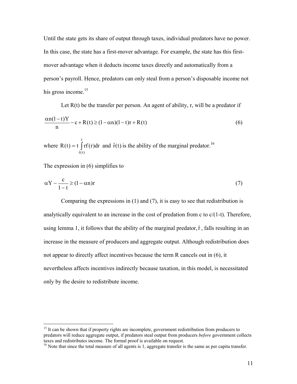Until the state gets its share of output through taxes, individual predators have no power. In this case, the state has a first-mover advantage. For example, the state has this firstmover advantage when it deducts income taxes directly and automatically from a person's payroll. Hence, predators can only steal from a person's disposable income not his gross income.<sup>15</sup>

Let  $R(t)$  be the transfer per person. An agent of ability, r, will be a predator if  $c + R(t) \ge (1 - \alpha n)(1 - t)r + R(t)$ n  $\frac{\alpha n(1-t)Y}{-c + R(t)}$  =  $(1-\alpha n)(1-t)r +$ (6)

where  $R(t) = t \int$ 1  $\hat{\mathbf{r}}(\mathbf{t})$  $R(t) = t \int r f(r) dr$  and  $\hat{r}(t)$  is the ability of the marginal predator.<sup>16</sup>

The expression in (6) simplifies to

-

$$
\alpha Y - \frac{c}{1 - t} \ge (1 - \alpha n)r
$$
\n(7)

 Comparing the expressions in (1) and (7), it is easy to see that redistribution is analytically equivalent to an increase in the cost of predation from c to  $c/(1-t)$ . Therefore, using lemma 1, it follows that the ability of the marginal predator,  $\hat{r}$ , falls resulting in an increase in the measure of producers and aggregate output. Although redistribution does not appear to directly affect incentives because the term R cancels out in (6), it nevertheless affects incentives indirectly because taxation, in this model, is necessitated only by the desire to redistribute income.

<sup>&</sup>lt;sup>15</sup> It can be shown that if property rights are incomplete, government redistribution from producers to predators will reduce aggregate output, if predators steal output from producers *before* government collects taxes and redistributes income. The formal proof is available on request.

<sup>&</sup>lt;sup>16</sup> Note that since the total measure of all agents is 1, aggregate transfer is the same as per capita transfer.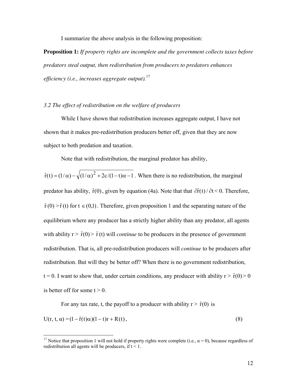I summarize the above analysis in the following proposition:

**Proposition 1:** *If property rights are incomplete and the government collects taxes before predators steal output, then redistribution from producers to predators enhances efficiency (i.e., increases aggregate output).*<sup>17</sup>

## *3.2 The effect of redistribution on the welfare of producers*

While I have shown that redistribution increases aggregate output, I have not shown that it makes pre-redistribution producers better off, given that they are now subject to both predation and taxation.

Note that with redistribution, the marginal predator has ability,

 $\hat{r}(t) = (1/\alpha) - \sqrt{(1/\alpha)^2 + 2c/(1-t)\alpha - 1}$ . When there is no redistribution, the marginal predator has ability,  $\hat{r}(0)$ , given by equation (4a). Note that that  $\frac{\partial \hat{r}(t)}{\partial t} < 0$ . Therefore,  $\hat{r}(0) > \hat{r}(t)$  for  $t \in (0,1)$ . Therefore, given proposition 1 and the separating nature of the equilibrium where any producer has a strictly higher ability than any predator, all agents with ability  $r > \hat{r}(0) > \hat{r}(t)$  will *continue* to be producers in the presence of government redistribution. That is, all pre-redistribution producers will *continue* to be producers after redistribution. But will they be better off? When there is no government redistribution,  $t = 0$ . I want to show that, under certain conditions, any producer with ability  $r > \hat{r}(0) > 0$ is better off for some  $t > 0$ .

For any tax rate, t, the payoff to a producer with ability  $r > \hat{r}(0)$  is

<u>.</u>

$$
U(r, t, \alpha) = (1 - \hat{r}(t)\alpha)(1 - t)r + R(t),
$$
\n(8)

<sup>&</sup>lt;sup>17</sup> Notice that proposition 1 will not hold if property rights were complete (i.e.,  $\alpha = 0$ ), because regardless of redistribution all agents will be producers, if  $t < 1$ .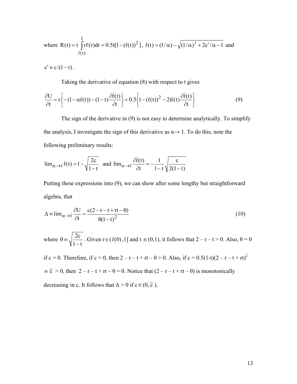where R(t) = t 
$$
\int_{\hat{r}(t)}^{1} rf(r) dr = 0.5t[1 - (\hat{r}(t))^2]
$$
,  $\hat{r}(t) = (1/\alpha) - \sqrt{(1/\alpha)^2 + 2c'/\alpha - 1}$  and  $\hat{r}(t)$ 

 $c' \equiv c/(1-t)$ .

Taking the derivative of equation (8) with respect to t gives

$$
\frac{\partial U}{\partial t} = r \left\{ - (1 - \alpha \hat{r}(t)) - (1 - t) \frac{\partial \hat{r}(t)}{\partial t} \right\} + 0.5 \left\{ 1 - (\hat{r}(t))^2 - 2t \hat{r}(t) \frac{\partial \hat{r}(t)}{\partial t} \right\}
$$
(9)

The sign of the derivative in (9) is not easy to determine analytically. To simplify the analysis, I investigate the sign of this derivative as  $\alpha \rightarrow 1$ . To do this, note the following preliminary results:

$$
\lim_{\alpha \to 1} \hat{r}(t) = 1 - \sqrt{\frac{2c}{1-t}} \text{ and } \lim_{\alpha \to 1} \frac{\partial \hat{r}(t)}{\partial t} = -\frac{1}{1-t} \sqrt{\frac{c}{2(1-t)}}
$$

Putting these expressions into (9), we can show after some lengthy but straightforward algebra, that

$$
\Delta = \lim_{\alpha \to 1} \frac{\partial U}{\partial t} = \frac{c(2 - r - t + rt - \theta)}{\theta(1 - t)^2}
$$
(10)

where  $1 - t$  $2c$ −  $\theta = \sqrt{\frac{2C}{1-c}}$ . Given  $r \in (\hat{r}(0),1]$  and  $t \in (0,1)$ , it follows that  $2 - r - t > 0$ . Also,  $\theta = 0$ if c = 0. Therefore, if c = 0, then  $2 - r - t + rt - \theta > 0$ . Also, if c = 0.5(1-t)(2 – r – t + rt)<sup>2</sup>  $\equiv \tilde{c} > 0$ , then  $2 - r - t + rt - \theta = 0$ . Notice that  $(2 - r - t + rt - \theta)$  is monotonically

decreasing in c. It follows that  $\Delta > 0$  if  $c \in (0, \tilde{c})$ .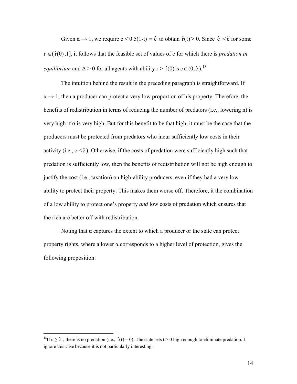Given  $\alpha \to 1$ , we require  $c < 0.5(1-t) = \hat{c}$  to obtain  $\hat{r}(t) > 0$ . Since  $\hat{c} < \tilde{c}$  for some  $r \in (\hat{r}(0),1]$ , it follows that the feasible set of values of c for which there is *predation in equilibrium* and  $\Delta > 0$  for all agents with ability r >  $\hat{r}(0)$  is c ∈ (0, ĉ).<sup>18</sup>

The intuition behind the result in the preceding paragraph is straightforward. If  $\alpha \rightarrow 1$ , then a producer can protect a very low proportion of his property. Therefore, the benefits of redistribution in terms of reducing the number of predators (i.e., lowering n) is very high if α is very high. But for this benefit to be that high, it must be the case that the producers must be protected from predators who incur sufficiently low costs in their activity (i.e.,  $c < \hat{c}$ ). Otherwise, if the costs of predation were sufficiently high such that predation is sufficiently low, then the benefits of redistribution will not be high enough to justify the cost (i.e., taxation) on high-ability producers, even if they had a very low ability to protect their property. This makes them worse off. Therefore, it the combination of a low ability to protect one's property *and* low costs of predation which ensures that the rich are better off with redistribution.

Noting that  $\alpha$  captures the extent to which a producer or the state can protect property rights, where a lower  $\alpha$  corresponds to a higher level of protection, gives the following proposition:

-

<sup>&</sup>lt;sup>18</sup>If  $c \ge \hat{c}$ , there is no predation (i.e.,  $\hat{r}(t) = 0$ ). The state sets  $t > 0$  high enough to eliminate predation. I ignore this case because it is not particularly interesting.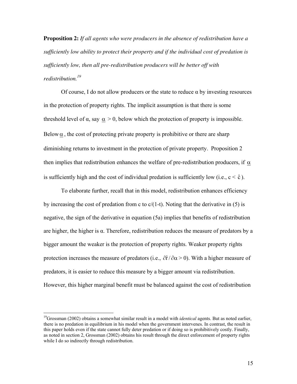**Proposition 2:** *If all agents who were producers in the absence of redistribution have a sufficiently low ability to protect their property and if the individual cost of predation is sufficiently low, then all pre-redistribution producers will be better off with redistribution.<sup>19</sup>*

 Of course, I do not allow producers or the state to reduce α by investing resources in the protection of property rights. The implicit assumption is that there is some threshold level of  $\alpha$ , say  $\alpha > 0$ , below which the protection of property is impossible. Below $\alpha$ , the cost of protecting private property is prohibitive or there are sharp diminishing returns to investment in the protection of private property. Proposition 2 then implies that redistribution enhances the welfare of pre-redistribution producers, if  $\alpha$ is sufficiently high and the cost of individual predation is sufficiently low (i.e.,  $c < \hat{c}$ ).

To elaborate further, recall that in this model, redistribution enhances efficiency by increasing the cost of predation from c to  $c/(1-t)$ . Noting that the derivative in (5) is negative, the sign of the derivative in equation (5a) implies that benefits of redistribution are higher, the higher is  $\alpha$ . Therefore, redistribution reduces the measure of predators by a bigger amount the weaker is the protection of property rights. Weaker property rights protection increases the measure of predators (i.e.,  $\partial \hat{r}/\partial \alpha$  > 0). With a higher measure of predators, it is easier to reduce this measure by a bigger amount via redistribution. However, this higher marginal benefit must be balanced against the cost of redistribution

-

<sup>&</sup>lt;sup>19</sup>Grossman (2002) obtains a somewhat similar result in a model with *identical* agents. But as noted earlier, there is no predation in equilibrium in his model when the government intervenes. In contrast, the result in this paper holds even if the state cannot fully deter predation or if doing so is prohibitively costly. Finally, as noted in section 2, Grossman (2002) obtains his result through the direct enforcement of property rights while I do so indirectly through redistribution.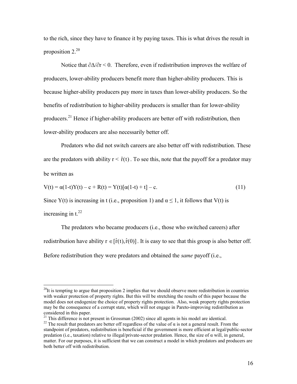to the rich, since they have to finance it by paying taxes. This is what drives the result in proposition  $2.^{20}$ 

Notice that  $\partial \Delta / \partial r$  < 0. Therefore, even if redistribution improves the welfare of producers, lower-ability producers benefit more than higher-ability producers. This is because higher-ability producers pay more in taxes than lower-ability producers. So the benefits of redistribution to higher-ability producers is smaller than for lower-ability producers.<sup>21</sup> Hence if higher-ability producers are better off with redistribution, then lower-ability producers are also necessarily better off.

 Predators who did not switch careers are also better off with redistribution. These are the predators with ability  $r < \hat{r}(t)$ . To see this, note that the payoff for a predator may be written as

$$
V(t) = \alpha(1-t)Y(t) - c + R(t) = Y(t)[\alpha(1-t) + t] - c.
$$
\n(11)

Since Y(t) is increasing in t (i.e., proposition 1) and  $\alpha \le 1$ , it follows that V(t) is

increasing in  $t^{22}$ 

<u>.</u>

The predators who became producers (i.e., those who switched careers) after redistribution have ability  $r \in [\hat{r}(t), \hat{r}(0)]$ . It is easy to see that this group is also better off. Before redistribution they were predators and obtained the *same* payoff (i.e.,

<sup>21</sup> This difference is not present in Grossman (2002) since all agents in his model are identical.

 $^{20}$ It is tempting to argue that proposition 2 implies that we should observe more redistribution in countries with weaker protection of property rights. But this will be stretching the results of this paper because the model does not endogenize the choice of property rights protection. Also, weak property rights protection may be the consequence of a corrupt state, which will not engage in Pareto-improving redistribution as considered in this paper.

<sup>&</sup>lt;sup>22</sup> The result that predators are better off regardless of the value of  $\alpha$  is not a general result. From the standpoint of predators, redistribution is beneficial if the government is more efficient at legal/public-sector predation (i.e., taxation) relative to illegal/private-sector predation. Hence, the size of  $\alpha$  will, in general, matter. For our purposes, it is sufficient that we can construct a model in which predators and producers are both better off with redistribution.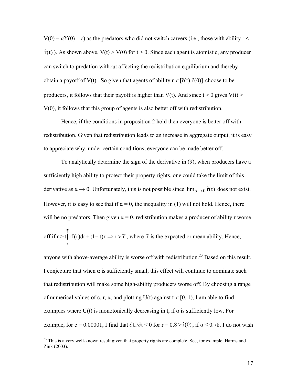$V(0) = \alpha Y(0) - c$ ) as the predators who did not switch careers (i.e., those with ability r  $\leq$  $\hat{r}(t)$ ). As shown above,  $V(t) > V(0)$  for  $t > 0$ . Since each agent is atomistic, any producer can switch to predation without affecting the redistribution equilibrium and thereby obtain a payoff of V(t). So given that agents of ability  $r \in [\hat{r}(t), \hat{r}(0)]$  choose to be producers, it follows that their payoff is higher than V(t). And since  $t > 0$  gives V(t) > V(0), it follows that this group of agents is also better off with redistribution.

Hence, if the conditions in proposition 2 hold then everyone is better off with redistribution. Given that redistribution leads to an increase in aggregate output, it is easy to appreciate why, under certain conditions, everyone can be made better off.

To analytically determine the sign of the derivative in (9), when producers have a sufficiently high ability to protect their property rights, one could take the limit of this derivative as  $\alpha \to 0$ . Unfortunately, this is not possible since  $\lim_{\alpha \to 0} \hat{r}(t)$  does not exist. However, it is easy to see that if  $\alpha = 0$ , the inequality in (1) will not hold. Hence, there will be no predators. Then given  $\alpha = 0$ , redistribution makes a producer of ability r worse off if  $r > t$   $\lceil rf(r)dr + (1-t)r\rceil$ r  $\int_{0}^{1}$  rf(r)dr + (1 – t)r  $\Rightarrow$  r >  $\tilde{r}$ , where  $\tilde{r}$  is the expected or mean ability. Hence,

r anyone with above-average ability is worse off with redistribution.<sup>23</sup> Based on this result,

 $\overline{a}$ 

I conjecture that when  $\alpha$  is sufficiently small, this effect will continue to dominate such that redistribution will make some high-ability producers worse off. By choosing a range of numerical values of c, r,  $\alpha$ , and plotting U(t) against  $t \in [0, 1)$ , I am able to find examples where  $U(t)$  is monotonically decreasing in t, if  $\alpha$  is sufficiently low. For example, for c = 0.00001, I find that  $\partial U/\partial t$  < 0 for r = 0.8 >  $\hat{r}(0)$ , if  $\alpha \le 0.78$ . I do not wish

<sup>&</sup>lt;sup>23</sup> This is a very well-known result given that property rights are complete. See, for example, Harms and Zink (2003).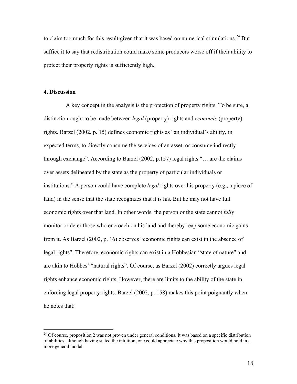to claim too much for this result given that it was based on numerical stimulations.<sup>24</sup> But suffice it to say that redistribution could make some producers worse off if their ability to protect their property rights is sufficiently high.

#### **4. Discussion**

 $\overline{a}$ 

 A key concept in the analysis is the protection of property rights. To be sure, a distinction ought to be made between *legal* (property) rights and *economic* (property) rights. Barzel (2002, p. 15) defines economic rights as "an individual's ability, in expected terms, to directly consume the services of an asset, or consume indirectly through exchange". According to Barzel (2002, p.157) legal rights "… are the claims over assets delineated by the state as the property of particular individuals or institutions." A person could have complete *legal* rights over his property (e.g., a piece of land) in the sense that the state recognizes that it is his. But he may not have full economic rights over that land. In other words, the person or the state cannot *fully*  monitor or deter those who encroach on his land and thereby reap some economic gains from it. As Barzel (2002, p. 16) observes "economic rights can exist in the absence of legal rights". Therefore, economic rights can exist in a Hobbesian "state of nature" and are akin to Hobbes' "natural rights". Of course, as Barzel (2002) correctly argues legal rights enhance economic rights. However, there are limits to the ability of the state in enforcing legal property rights. Barzel (2002, p. 158) makes this point poignantly when he notes that:

<sup>&</sup>lt;sup>24</sup> Of course, proposition 2 was not proven under general conditions. It was based on a specific distribution of abilities, although having stated the intuition, one could appreciate why this proposition would hold in a more general model.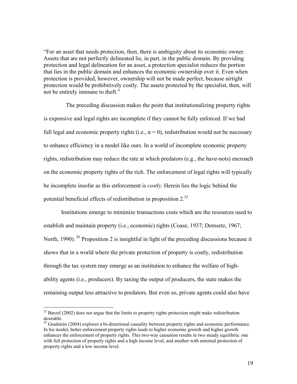"For an asset that needs protection, then, there is ambiguity about its economic owner. Assets that are not perfectly delineated lie, in part, in the public domain. By providing protection and legal delineation for an asset, a protection specialist reduces the portion that lies in the public domain and enhances the economic ownership over it. Even when protection is provided, however, ownership will not be made perfect, because airtight protection would be prohibitively costly. The assets protected by the specialist, then, will not be entirely immune to theft."

 The preceding discussion makes the point that institutionalizing property rights is expensive and legal rights are incomplete if they cannot be fully enforced. If we had full legal and economic property rights (i.e.,  $\alpha = 0$ ), redistribution would not be necessary to enhance efficiency in a model like ours. In a world of incomplete economic property rights, redistribution may reduce the rate at which predators (e.g., the have-nots) encroach on the economic property rights of the rich. The enforcement of legal rights will typically be incomplete insofar as this enforcement is *costly*. Herein lies the logic behind the potential beneficial effects of redistribution in proposition 2.<sup>25</sup>

Institutions emerge to minimize transactions costs which are the resources used to establish and maintain property (i.e., economic) rights (Coase, 1937; Demsetz, 1967; North, 1990).<sup>26</sup> Proposition 2 is insightful in light of the preceding discussions because it shows that in a world where the private protection of property is costly, redistribution through the tax system may emerge as an institution to enhance the welfare of highability agents (i.e., producers). By taxing the output of producers, the state makes the remaining output less attractive to predators. But even so, private agents could also have

 $\overline{a}$ 

 $25$  Barzel (2002) does not argue that the limits to property rights protection might make redistribution desirable.

<sup>&</sup>lt;sup>26</sup> Gradstein (2004) explores a bi-directional causality between property rights and economic performance. In his model, better enforcement property rights leads to higher economic growth and higher growth enhances the enforcement of property rights. This two-way causation results in two steady equilibria: one with full protection of property rights and a high income level, and another with minimal protection of property rights and a low income level.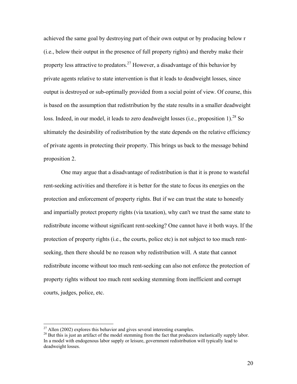achieved the same goal by destroying part of their own output or by producing below r (i.e., below their output in the presence of full property rights) and thereby make their property less attractive to predators.<sup>27</sup> However, a disadvantage of this behavior by private agents relative to state intervention is that it leads to deadweight losses, since output is destroyed or sub-optimally provided from a social point of view. Of course, this is based on the assumption that redistribution by the state results in a smaller deadweight loss. Indeed, in our model, it leads to zero deadweight losses (i.e., proposition 1).<sup>28</sup> So ultimately the desirability of redistribution by the state depends on the relative efficiency of private agents in protecting their property. This brings us back to the message behind proposition 2.

One may argue that a disadvantage of redistribution is that it is prone to wasteful rent-seeking activities and therefore it is better for the state to focus its energies on the protection and enforcement of property rights. But if we can trust the state to honestly and impartially protect property rights (via taxation), why can't we trust the same state to redistribute income without significant rent-seeking? One cannot have it both ways. If the protection of property rights (i.e., the courts, police etc) is not subject to too much rentseeking, then there should be no reason why redistribution will. A state that cannot redistribute income without too much rent-seeking can also not enforce the protection of property rights without too much rent seeking stemming from inefficient and corrupt courts, judges, police, etc.

 $\overline{a}$ 

 $^{27}$  Allen (2002) explores this behavior and gives several interesting examples.

<sup>&</sup>lt;sup>28</sup> But this is just an artifact of the model stemming from the fact that producers inelastically supply labor. In a model with endogenous labor supply or leisure, government redistribution will typically lead to deadweight losses.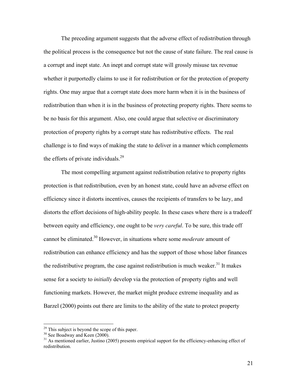The preceding argument suggests that the adverse effect of redistribution through the political process is the consequence but not the cause of state failure. The real cause is a corrupt and inept state. An inept and corrupt state will grossly misuse tax revenue whether it purportedly claims to use it for redistribution or for the protection of property rights. One may argue that a corrupt state does more harm when it is in the business of redistribution than when it is in the business of protecting property rights. There seems to be no basis for this argument. Also, one could argue that selective or discriminatory protection of property rights by a corrupt state has redistributive effects. The real challenge is to find ways of making the state to deliver in a manner which complements the efforts of private individuals. $^{29}$ 

 The most compelling argument against redistribution relative to property rights protection is that redistribution, even by an honest state, could have an adverse effect on efficiency since it distorts incentives, causes the recipients of transfers to be lazy, and distorts the effort decisions of high-ability people. In these cases where there is a tradeoff between equity and efficiency, one ought to be *very careful*. To be sure, this trade off cannot be eliminated.<sup>30</sup> However, in situations where some *moderate* amount of redistribution can enhance efficiency and has the support of those whose labor finances the redistributive program, the case against redistribution is much weaker.<sup>31</sup> It makes sense for a society to *initially* develop via the protection of property rights and well functioning markets. However, the market might produce extreme inequality and as Barzel (2000) points out there are limits to the ability of the state to protect property

-

<sup>&</sup>lt;sup>29</sup> This subject is beyond the scope of this paper.

<sup>&</sup>lt;sup>30</sup> See Boadway and Keen (2000).

 $31$  As mentioned earlier, Justino (2005) presents empirical support for the efficiency-enhancing effect of redistribution.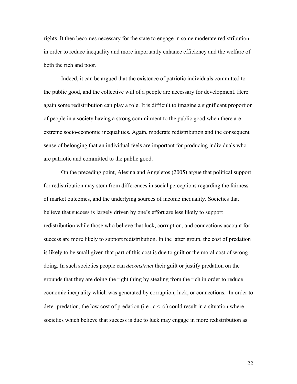rights. It then becomes necessary for the state to engage in some moderate redistribution in order to reduce inequality and more importantly enhance efficiency and the welfare of both the rich and poor.

 Indeed, it can be argued that the existence of patriotic individuals committed to the public good, and the collective will of a people are necessary for development. Here again some redistribution can play a role. It is difficult to imagine a significant proportion of people in a society having a strong commitment to the public good when there are extreme socio-economic inequalities. Again, moderate redistribution and the consequent sense of belonging that an individual feels are important for producing individuals who are patriotic and committed to the public good.

 On the preceding point, Alesina and Angeletos (2005) argue that political support for redistribution may stem from differences in social perceptions regarding the fairness of market outcomes, and the underlying sources of income inequality. Societies that believe that success is largely driven by one's effort are less likely to support redistribution while those who believe that luck, corruption, and connections account for success are more likely to support redistribution. In the latter group, the cost of predation is likely to be small given that part of this cost is due to guilt or the moral cost of wrong doing. In such societies people can *deconstruct* their guilt or justify predation on the grounds that they are doing the right thing by stealing from the rich in order to reduce economic inequality which was generated by corruption, luck, or connections. In order to deter predation, the low cost of predation (i.e.,  $c < \hat{c}$ ) could result in a situation where societies which believe that success is due to luck may engage in more redistribution as

22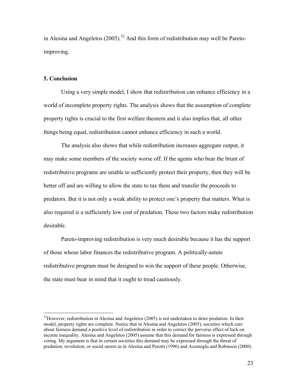in Alesina and Angeletos  $(2005)$ <sup>32</sup> And this form of redistribution may well be Paretoimproving.

## **5. Conclusion**

 $\overline{a}$ 

Using a very simple model, I show that redistribution can enhance efficiency in a world of incomplete property rights. The analysis shows that the assumption of complete property rights is crucial to the first welfare theorem and it also implies that, all other things being equal, redistribution cannot enhance efficiency in such a world.

The analysis also shows that while redistribution increases aggregate output, it may make some members of the society worse off. If the agents who bear the brunt of redistributive programs are unable to sufficiently protect their property, then they will be better off and are willing to allow the state to tax them and transfer the proceeds to predators. But it is not only a weak ability to protect one's property that matters. What is also required is a sufficiently low cost of predation. These two factors make redistribution desirable.

Pareto-improving redistribution is very much desirable because it has the support of those whose labor finances the redistributive program. A politically-astute redistributive program must be designed to win the support of these people. Otherwise, the state must bear in mind that it ought to tread cautiously.

 $32$ However, redistribution in Alesina and Angeletos (2005) is not undertaken to deter predation. In their model, property rights are complete. Notice that in Alesina and Angeletos (2005), societies which care about fairness demand a positive level of redistribution in order to correct the perverse effect of luck on income inequality. Alesina and Angeletos (2005) assume that this demand for fairness is expressed through voting. My argument is that in certain societies this demand may be expressed through the threat of predation, revolution, or social unrest as in Alesina and Perotti (1996) and Acemoglu and Robinson (2000).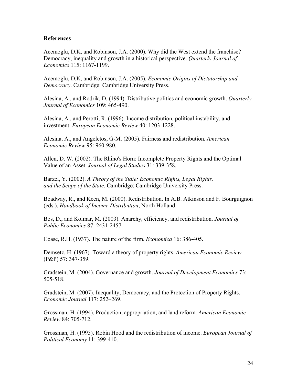# **References**

Acemoglu, D.K, and Robinson, J.A. (2000). Why did the West extend the franchise? Democracy, inequality and growth in a historical perspective. *Quarterly Journal of Economics* 115: 1167-1199.

Acemoglu, D.K, and Robinson, J.A. (2005). *Economic Origins of Dictatorship and Democracy*. Cambridge: Cambridge University Press.

Alesina, A., and Rodrik, D. (1994). Distributive politics and economic growth. *Quarterly Journal of Economics* 109: 465-490.

Alesina, A., and Perotti, R. (1996). Income distribution, political instability, and investment. *European Economic Review* 40: 1203-1228.

Alesina, A., and Angeletos, G-M. (2005). Fairness and redistribution. *American Economic Review* 95: 960-980.

Allen, D. W. (2002). The Rhino's Horn: Incomplete Property Rights and the Optimal Value of an Asset. *Journal of Legal Studies* 31: 339-358.

Barzel, Y. (2002). *A Theory of the State: Economic Rights, Legal Rights, and the Scope of the State*. Cambridge: Cambridge University Press.

Boadway, R., and Keen, M. (2000). Redistribution. In A.B. Atkinson and F. Bourguignon (eds.), *Handbook of Income Distribution*, North Holland.

Bos, D., and Kolmar, M. (2003). Anarchy, efficiency, and redistribution. *Journal of Public Economics* 87: 2431-2457.

Coase, R.H. (1937). The nature of the firm. *Economica* 16: 386-405.

Demsetz, H. (1967). Toward a theory of property rights. *American Economic Review* (P&P) 57: 347-359.

Gradstein, M. (2004). Governance and growth. *Journal of Development Economics* 73: 505-518.

Gradstein, M. (2007). Inequality, Democracy, and the Protection of Property Rights. *Economic Journal* 117: 252–269.

Grossman, H. (1994). Production, appropriation, and land reform. *American Economic Review* 84: 705-712.

Grossman, H. (1995). Robin Hood and the redistribution of income. *European Journal of Political Economy* 11: 399-410.